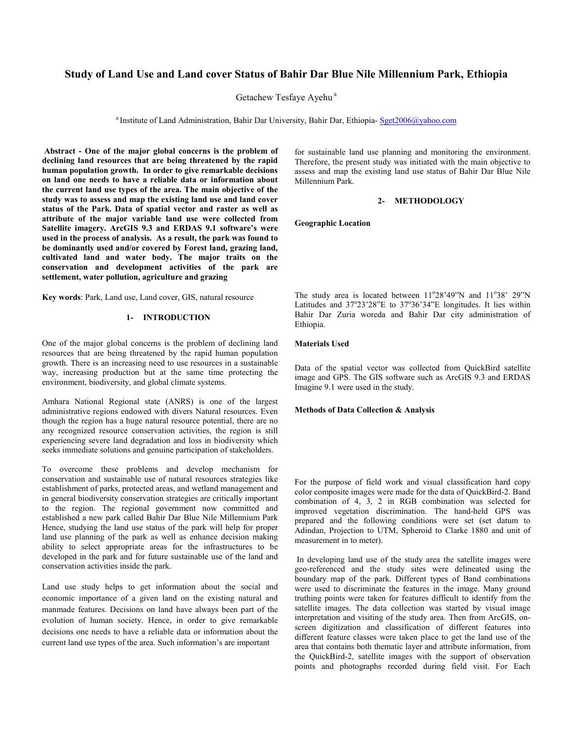# **Study of Land Use and Land cover Status of Bahir Dar Blue Nile Millennium Park, Ethiopia**

Getachew Tesfaye Ayehu<sup>a</sup>

<sup>a</sup> Institute of Land Administration, Bahir Dar University, Bahir Dar, Ethiopia- [Sget2006@yahoo.com](mailto:Sget2006@yahoo.com)

 **Abstract - One of the major global concerns is the problem of declining land resources that are being threatened by the rapid human population growth. In order to give remarkable decisions on land one needs to have a reliable data or information about the current land use types of the area. The main objective of the study was to assess and map the existing land use and land cover status of the Park. Data of spatial vector and raster as well as attribute of the major variable land use were collected from Satellite imagery. ArcGIS 9.3 and ERDAS 9.1 software's were used in the process of analysis. As a result, the park was found to be dominantly used and/or covered by Forest land, grazing land, cultivated land and water body. The major traits on the conservation and development activities of the park are settlement, water pollution, agriculture and grazing** 

**Key words**: Park, Land use, Land cover, GIS, natural resource

## **1- INTRODUCTION**

One of the major global concerns is the problem of declining land resources that are being threatened by the rapid human population growth. There is an increasing need to use resources in a sustainable way, increasing production but at the same time protecting the environment, biodiversity, and global climate systems.

Amhara National Regional state (ANRS) is one of the largest administrative regions endowed with divers Natural resources. Even though the region has a huge natural resource potential, there are no any recognized resource conservation activities, the region is still experiencing severe land degradation and loss in biodiversity which seeks immediate solutions and genuine participation of stakeholders.

To overcome these problems and develop mechanism for conservation and sustainable use of natural resources strategies like establishment of parks, protected areas, and wetland management and in general biodiversity conservation strategies are critically important to the region. The regional government now committed and established a new park called Bahir Dar Blue Nile Millennium Park Hence, studying the land use status of the park will help for proper land use planning of the park as well as enhance decision making ability to select appropriate areas for the infrastructures to be developed in the park and for future sustainable use of the land and conservation activities inside the park.

Land use study helps to get information about the social and economic importance of a given land on the existing natural and manmade features. Decisions on land have always been part of the evolution of human society. Hence, in order to give remarkable decisions one needs to have a reliable data or information about the current land use types of the area. Such information's are important

for sustainable land use planning and monitoring the environment. Therefore, the present study was initiated with the main objective to assess and map the existing land use status of Bahir Dar Blue Nile Millennium Park.

## **2- METHODOLOGY**

**Geographic Location** 

The study area is located between  $11^{\circ}28'49''N$  and  $11^{\circ}38'$  29"N Latitudes and 37°23'28"E to 37°36'34"E longitudes. It lies within Bahir Dar Zuria woreda and Bahir Dar city administration of Ethiopia.

## **Materials Used**

Data of the spatial vector was collected from QuickBird satellite image and GPS. The GIS software such as ArcGIS 9.3 and ERDAS Imagine 9.1 were used in the study.

### **Methods of Data Collection & Analysis**

For the purpose of field work and visual classification hard copy color composite images were made for the data of QuickBird-2. Band combination of 4, 3, 2 in RGB combination was selected for improved vegetation discrimination. The hand-held GPS was prepared and the following conditions were set (set datum to Adindan, Projection to UTM, Spheroid to Clarke 1880 and unit of measurement in to meter).

 In developing land use of the study area the satellite images were geo-referenced and the study sites were delineated using the boundary map of the park. Different types of Band combinations were used to discriminate the features in the image. Many ground truthing points were taken for features difficult to identify from the satellite images. The data collection was started by visual image interpretation and visiting of the study area. Then from ArcGIS, onscreen digitization and classification of different features into different feature classes were taken place to get the land use of the area that contains both thematic layer and attribute information, from the QuickBird-2, satellite images with the support of observation points and photographs recorded during field visit. For Each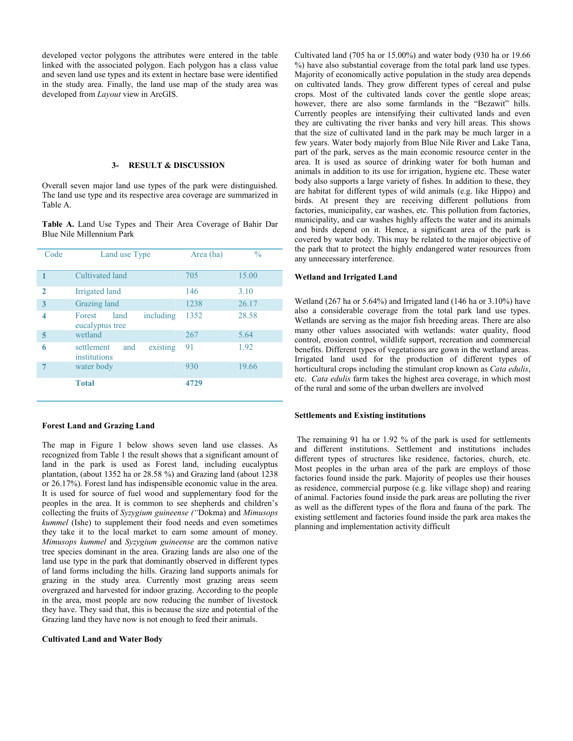developed vector polygons the attributes were entered in the table linked with the associated polygon. Each polygon has a class value and seven land use types and its extent in hectare base were identified in the study area. Finally, the land use map of the study area was developed from *Layout* view in ArcGIS.

### **3- RESULT & DISCUSSION**

Overall seven major land use types of the park were distinguished. The land use type and its respective area coverage are summarized in Table A.

**Table A.** Land Use Types and Their Area Coverage of Bahir Dar Blue Nile Millennium Park

| Code                    | Land use Type                     |           | Area (ha) | $\frac{0}{0}$ |
|-------------------------|-----------------------------------|-----------|-----------|---------------|
|                         | Cultivated land                   |           | 705       | 15.00         |
| $\mathbf{2}$            | Irrigated land                    |           | 146       | 3.10          |
| $\overline{\mathbf{3}}$ | <b>Grazing land</b>               |           | 1238      | 26.17         |
| 4                       | land<br>Forest<br>eucalyptus tree | including | 1352      | 28.58         |
| 5                       | wetland                           |           | 267       | 5.64          |
| 6                       | settlement<br>and<br>institutions | existing  | 91        | 1.92          |
| 7                       | water body                        |           | 930       | 19.66         |
|                         | <b>Total</b>                      |           | 4729      |               |

### **Forest Land and Grazing Land**

The map in Figure 1 below shows seven land use classes. As recognized from Table 1 the result shows that a significant amount of land in the park is used as Forest land, including eucalyptus plantation, (about 1352 ha or 28.58 %) and Grazing land (about 1238 or 26.17%). Forest land has indispensible economic value in the area. It is used for source of fuel wood and supplementary food for the peoples in the area. It is common to see shepherds and children's collecting the fruits of *Syzygium guineense ("*Dokma) and *Mimusops kummel* (Ishe) to supplement their food needs and even sometimes they take it to the local market to earn some amount of money. *Mimusops kummel* and *Syzygium guineense* are the common native tree species dominant in the area. Grazing lands are also one of the land use type in the park that dominantly observed in different types of land forms including the hills. Grazing land supports animals for grazing in the study area. Currently most grazing areas seem overgrazed and harvested for indoor grazing. According to the people in the area, most people are now reducing the number of livestock they have. They said that, this is because the size and potential of the Grazing land they have now is not enough to feed their animals.

#### **Cultivated Land and Water Body**

Cultivated land (705 ha or 15.00%) and water body (930 ha or 19.66 %) have also substantial coverage from the total park land use types. Majority of economically active population in the study area depends on cultivated lands. They grow different types of cereal and pulse crops. Most of the cultivated lands cover the gentle slope areas; however, there are also some farmlands in the "Bezawit" hills. Currently peoples are intensifying their cultivated lands and even they are cultivating the river banks and very hill areas. This shows that the size of cultivated land in the park may be much larger in a few years. Water body majorly from Blue Nile River and Lake Tana, part of the park, serves as the main economic resource center in the area. It is used as source of drinking water for both human and animals in addition to its use for irrigation, hygiene etc. These water body also supports a large variety of fishes. In addition to these, they are habitat for different types of wild animals (e.g. like Hippo) and birds. At present they are receiving different pollutions from factories, municipality, car washes, etc. This pollution from factories, municipality, and car washes highly affects the water and its animals and birds depend on it. Hence, a significant area of the park is covered by water body. This may be related to the major objective of the park that to protect the highly endangered water resources from any unnecessary interference.

## **Wetland and Irrigated Land**

Wetland (267 ha or 5.64%) and Irrigated land (146 ha or 3.10%) have also a considerable coverage from the total park land use types. Wetlands are serving as the major fish breeding areas. There are also many other values associated with wetlands: water quality, flood control, erosion control, wildlife support, recreation and commercial benefits. Different types of vegetations are gown in the wetland areas. Irrigated land used for the production of different types of horticultural crops including the stimulant crop known as *Cata edulis*, etc. *Cata edulis* farm takes the highest area coverage, in which most of the rural and some of the urban dwellers are involved

### **Settlements and Existing institutions**

The remaining 91 ha or 1.92 % of the park is used for settlements and different institutions. Settlement and institutions includes different types of structures like residence, factories, church, etc. Most peoples in the urban area of the park are employs of those factories found inside the park. Majority of peoples use their houses as residence, commercial purpose (e.g. like village shop) and rearing of animal. Factories found inside the park areas are polluting the river as well as the different types of the flora and fauna of the park. The existing settlement and factories found inside the park area makes the planning and implementation activity difficult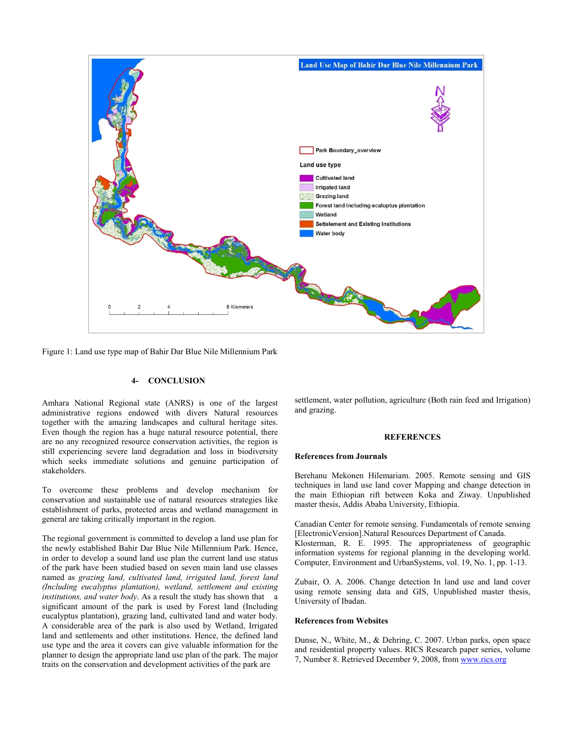

Figure 1: Land use type map of Bahir Dar Blue Nile Millennium Park

## **4- CONCLUSION**

Amhara National Regional state (ANRS) is one of the largest administrative regions endowed with divers Natural resources together with the amazing landscapes and cultural heritage sites. Even though the region has a huge natural resource potential, there are no any recognized resource conservation activities, the region is still experiencing severe land degradation and loss in biodiversity which seeks immediate solutions and genuine participation of stakeholders.

To overcome these problems and develop mechanism for conservation and sustainable use of natural resources strategies like establishment of parks, protected areas and wetland management in general are taking critically important in the region.

The regional government is committed to develop a land use plan for the newly established Bahir Dar Blue Nile Millennium Park. Hence, in order to develop a sound land use plan the current land use status of the park have been studied based on seven main land use classes named as *grazing land, cultivated land, irrigated land, forest land (Including eucalyptus plantation), wetland, settlement and existing institutions, and water body*. As a result the study has shown that a significant amount of the park is used by Forest land (Including eucalyptus plantation), grazing land, cultivated land and water body. A considerable area of the park is also used by Wetland, Irrigated land and settlements and other institutions. Hence, the defined land use type and the area it covers can give valuable information for the planner to design the appropriate land use plan of the park. The major traits on the conservation and development activities of the park are

settlement, water pollution, agriculture (Both rain feed and Irrigation) and grazing.

### **REFERENCES**

#### **References from Journals**

Berehanu Mekonen Hilemariam. 2005. Remote sensing and GIS techniques in land use land cover Mapping and change detection in the main Ethiopian rift between Koka and Ziway. Unpublished master thesis, Addis Ababa University, Ethiopia.

Canadian Center for remote sensing. Fundamentals of remote sensing [ElectronicVersion].Natural Resources Department of Canada. Klosterman, R. E. 1995. The appropriateness of geographic information systems for regional planning in the developing world. Computer, Environment and UrbanSystems, vol. 19, No. 1, pp. 1-13.

Zubair, O. A. 2006. Change detection In land use and land cover using remote sensing data and GIS, Unpublished master thesis, University of Ibadan.

## **References from Websites**

Dunse, N., White, M., & Dehring, C. 2007. Urban parks, open space and residential property values. RICS Research paper series, volume 7, Number 8. Retrieved December 9, 2008, from [www.rics.org](http://www.rics.org/)